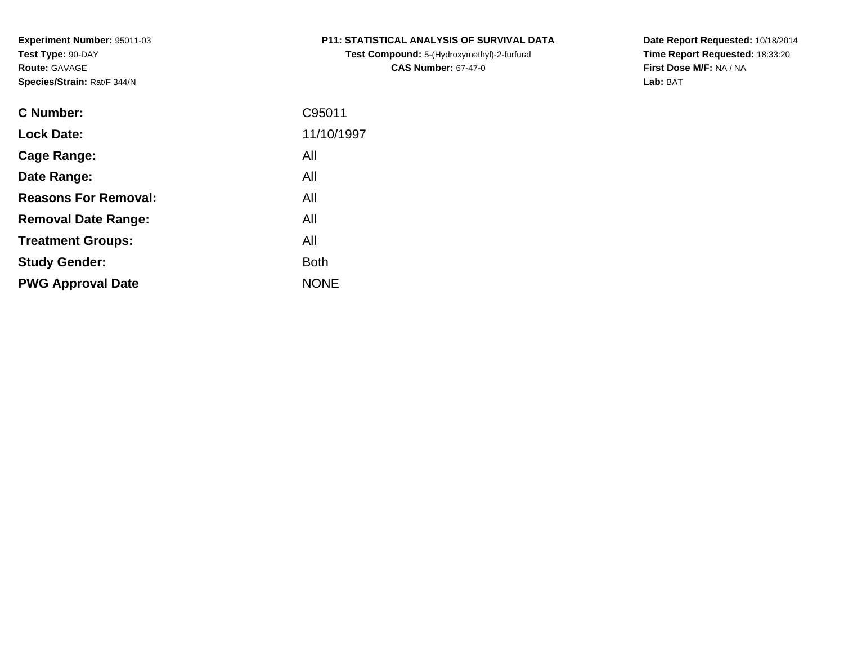**Test Compound:** 5-(Hydroxymethyl)-2-furfural **CAS Number:** 67-47-0

**Date Report Requested:** 10/18/2014 **Time Report Requested:** 18:33:20**First Dose M/F:** NA / NA**Lab:** BAT

| <b>C</b> Number:            | C95011      |
|-----------------------------|-------------|
| <b>Lock Date:</b>           | 11/10/1997  |
| Cage Range:                 | All         |
| Date Range:                 | All         |
| <b>Reasons For Removal:</b> | All         |
| <b>Removal Date Range:</b>  | All         |
| <b>Treatment Groups:</b>    | All         |
| <b>Study Gender:</b>        | <b>Both</b> |
| <b>PWG Approval Date</b>    | <b>NONE</b> |
|                             |             |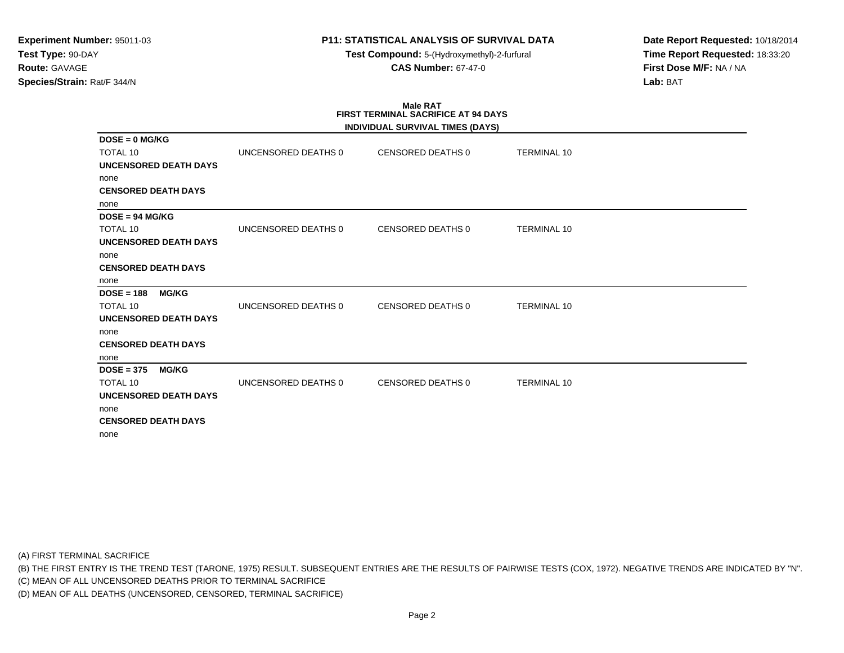**Test Compound:** 5-(Hydroxymethyl)-2-furfural **CAS Number:** 67-47-0

**Date Report Requested:** 10/18/2014**Time Report Requested:** 18:33:20**First Dose M/F:** NA / NA**Lab:** BAT

# **Male RATFIRST TERMINAL SACRIFICE AT 94 DAYS**

|                              |                     | INDIVIDUAL SURVIVAL TIMES (DAYS) |                    |
|------------------------------|---------------------|----------------------------------|--------------------|
| $DOSE = 0$ MG/KG             |                     |                                  |                    |
| <b>TOTAL 10</b>              | UNCENSORED DEATHS 0 | CENSORED DEATHS 0                | <b>TERMINAL 10</b> |
| <b>UNCENSORED DEATH DAYS</b> |                     |                                  |                    |
| none                         |                     |                                  |                    |
| <b>CENSORED DEATH DAYS</b>   |                     |                                  |                    |
| none                         |                     |                                  |                    |
| $DOSE = 94 MGI/KG$           |                     |                                  |                    |
| <b>TOTAL 10</b>              | UNCENSORED DEATHS 0 | CENSORED DEATHS 0                | <b>TERMINAL 10</b> |
| <b>UNCENSORED DEATH DAYS</b> |                     |                                  |                    |
| none                         |                     |                                  |                    |
| <b>CENSORED DEATH DAYS</b>   |                     |                                  |                    |
| none                         |                     |                                  |                    |
| $DOSE = 188$<br><b>MG/KG</b> |                     |                                  |                    |
| <b>TOTAL 10</b>              | UNCENSORED DEATHS 0 | <b>CENSORED DEATHS 0</b>         | <b>TERMINAL 10</b> |
| UNCENSORED DEATH DAYS        |                     |                                  |                    |
| none                         |                     |                                  |                    |
| <b>CENSORED DEATH DAYS</b>   |                     |                                  |                    |
| none                         |                     |                                  |                    |
| $DOSE = 375$<br><b>MG/KG</b> |                     |                                  |                    |
| <b>TOTAL 10</b>              | UNCENSORED DEATHS 0 | <b>CENSORED DEATHS 0</b>         | <b>TERMINAL 10</b> |
| <b>UNCENSORED DEATH DAYS</b> |                     |                                  |                    |
| none                         |                     |                                  |                    |
| <b>CENSORED DEATH DAYS</b>   |                     |                                  |                    |
| none                         |                     |                                  |                    |

(A) FIRST TERMINAL SACRIFICE

(B) THE FIRST ENTRY IS THE TREND TEST (TARONE, 1975) RESULT. SUBSEQUENT ENTRIES ARE THE RESULTS OF PAIRWISE TESTS (COX, 1972). NEGATIVE TRENDS ARE INDICATED BY "N".

(C) MEAN OF ALL UNCENSORED DEATHS PRIOR TO TERMINAL SACRIFICE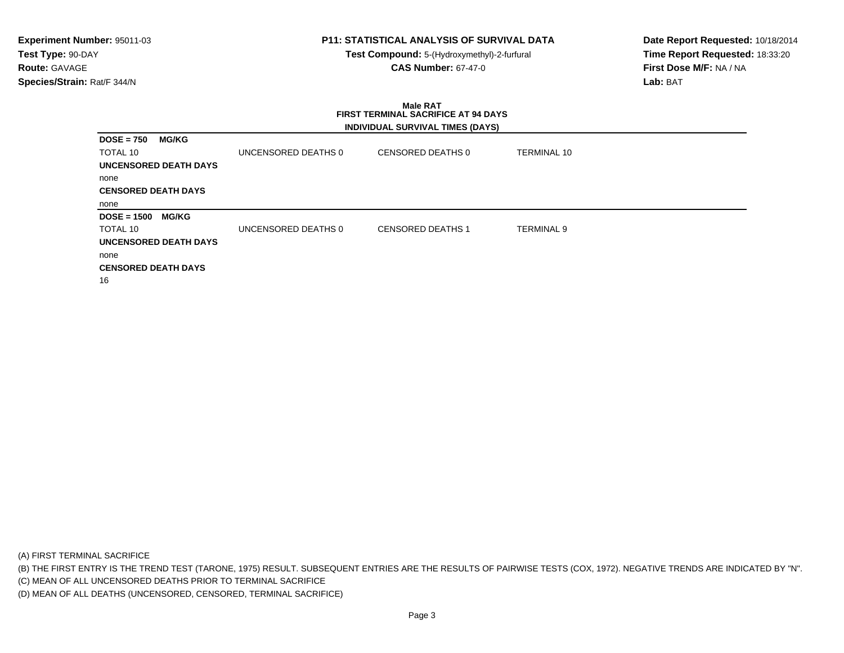**Test Compound:** 5-(Hydroxymethyl)-2-furfural **CAS Number:** 67-47-0

**Date Report Requested:** 10/18/2014**Time Report Requested:** 18:33:20**First Dose M/F:** NA / NA**Lab:** BAT

#### **Male RAT FIRST TERMINAL SACRIFICE AT 94 DAYSINDIVIDUAL SURVIVAL TIMES (DAYS)**

| <b>MG/KG</b><br>$DOSE = 750$  |                     |                          |                   |
|-------------------------------|---------------------|--------------------------|-------------------|
| TOTAL 10                      | UNCENSORED DEATHS 0 | CENSORED DEATHS 0        | TERMINAL 10       |
| <b>UNCENSORED DEATH DAYS</b>  |                     |                          |                   |
| none                          |                     |                          |                   |
| <b>CENSORED DEATH DAYS</b>    |                     |                          |                   |
| none                          |                     |                          |                   |
| <b>MG/KG</b><br>$DOSE = 1500$ |                     |                          |                   |
| TOTAL 10                      | UNCENSORED DEATHS 0 | <b>CENSORED DEATHS 1</b> | <b>TERMINAL 9</b> |
| UNCENSORED DEATH DAYS         |                     |                          |                   |
| none                          |                     |                          |                   |
| <b>CENSORED DEATH DAYS</b>    |                     |                          |                   |
| 16                            |                     |                          |                   |

(A) FIRST TERMINAL SACRIFICE

(B) THE FIRST ENTRY IS THE TREND TEST (TARONE, 1975) RESULT. SUBSEQUENT ENTRIES ARE THE RESULTS OF PAIRWISE TESTS (COX, 1972). NEGATIVE TRENDS ARE INDICATED BY "N".

(C) MEAN OF ALL UNCENSORED DEATHS PRIOR TO TERMINAL SACRIFICE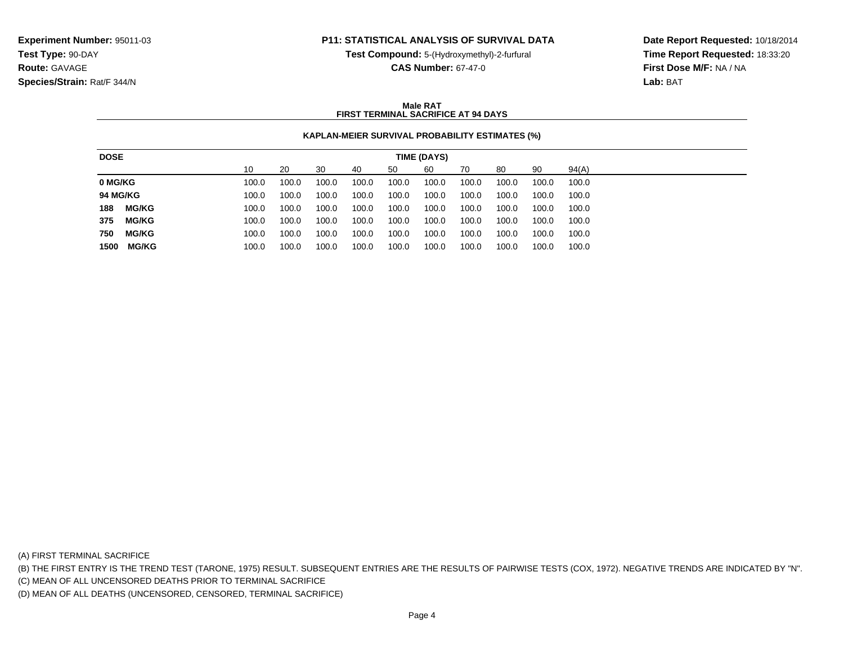**Test Compound:** 5-(Hydroxymethyl)-2-furfural

**CAS Number:** 67-47-0

**Date Report Requested:** 10/18/2014**Time Report Requested:** 18:33:20**First Dose M/F:** NA / NA**Lab:** BAT

### **Male RATFIRST TERMINAL SACRIFICE AT 94 DAYS**

## **KAPLAN-MEIER SURVIVAL PROBABILITY ESTIMATES (%)**

| 10<br>60<br>90<br>94(A)<br>30<br>20<br>70<br>80<br>50<br>40<br>100.0<br>100.0<br>100.0<br>100.0<br>100.0<br>100.0<br>100.0<br>100.0<br>100.0<br>100.0<br>100.0<br>100.0<br>100.0<br>100.0<br>100.0<br>100.0<br>100.0<br>100.0<br>100.0<br>100.0<br><b>MG/KG</b><br>100.0<br>100.0<br>100.0<br>100.0<br>100.0<br>100.0<br>100.0<br>100.0<br>100.0<br>100.0<br><b>MG/KG</b><br>100.0<br>100.0<br>100.0<br>100.0<br>100.0<br>100.0<br>100.0<br>100.0<br>100.0<br>100.0 |
|---------------------------------------------------------------------------------------------------------------------------------------------------------------------------------------------------------------------------------------------------------------------------------------------------------------------------------------------------------------------------------------------------------------------------------------------------------------------|
| 0 MG/KG<br>188<br>375                                                                                                                                                                                                                                                                                                                                                                                                                                               |
| <b>94 MG/KG</b>                                                                                                                                                                                                                                                                                                                                                                                                                                                     |
|                                                                                                                                                                                                                                                                                                                                                                                                                                                                     |
|                                                                                                                                                                                                                                                                                                                                                                                                                                                                     |
|                                                                                                                                                                                                                                                                                                                                                                                                                                                                     |
| 750<br><b>MG/KG</b><br>100.0<br>100.0<br>100.0<br>100.0<br>100.0<br>100.0<br>100.0<br>100.0<br>100.0<br>100.0                                                                                                                                                                                                                                                                                                                                                       |
| MG/KG<br>100.0<br>1500<br>100.0<br>100.0<br>100.0<br>100.0<br>100.0<br>100.0<br>100.0<br>100.0<br>100.0                                                                                                                                                                                                                                                                                                                                                             |

(A) FIRST TERMINAL SACRIFICE

(B) THE FIRST ENTRY IS THE TREND TEST (TARONE, 1975) RESULT. SUBSEQUENT ENTRIES ARE THE RESULTS OF PAIRWISE TESTS (COX, 1972). NEGATIVE TRENDS ARE INDICATED BY "N".

(C) MEAN OF ALL UNCENSORED DEATHS PRIOR TO TERMINAL SACRIFICE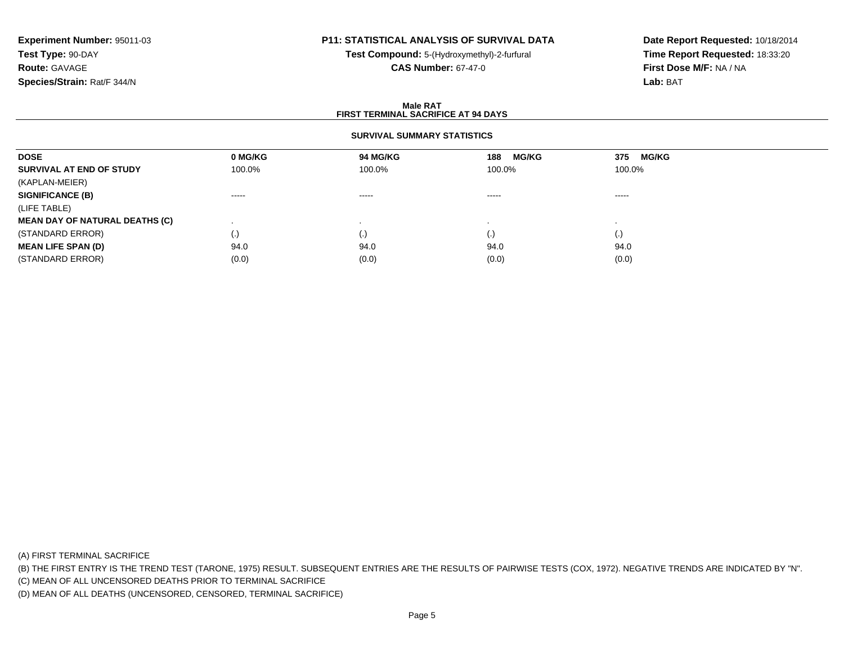# **P11: STATISTICAL ANALYSIS OF SURVIVAL DATA**

**Test Compound:** 5-(Hydroxymethyl)-2-furfural **CAS Number:** 67-47-0

**Date Report Requested:** 10/18/2014**Time Report Requested:** 18:33:20**First Dose M/F:** NA / NA**Lab:** BAT

### **Male RATFIRST TERMINAL SACRIFICE AT 94 DAYS**

### **SURVIVAL SUMMARY STATISTICS**

| <b>DOSE</b>                           | 0 MG/KG                | <b>94 MG/KG</b> | <b>MG/KG</b><br>188    | 375<br><b>MG/KG</b> |
|---------------------------------------|------------------------|-----------------|------------------------|---------------------|
| SURVIVAL AT END OF STUDY              | 100.0%                 | 100.0%          | 100.0%                 | 100.0%              |
| (KAPLAN-MEIER)                        |                        |                 |                        |                     |
| <b>SIGNIFICANCE (B)</b>               | $\cdots \cdots \cdots$ | -----           | $\cdots \cdots \cdots$ | ------              |
| (LIFE TABLE)                          |                        |                 |                        |                     |
| <b>MEAN DAY OF NATURAL DEATHS (C)</b> |                        |                 |                        |                     |
| (STANDARD ERROR)                      | (.)                    | $\cdot$         | (.)                    | (.)                 |
| <b>MEAN LIFE SPAN (D)</b>             | 94.0                   | 94.0            | 94.0                   | 94.0                |
| (STANDARD ERROR)                      | (0.0)                  | (0.0)           | (0.0)                  | (0.0)               |

(A) FIRST TERMINAL SACRIFICE

(B) THE FIRST ENTRY IS THE TREND TEST (TARONE, 1975) RESULT. SUBSEQUENT ENTRIES ARE THE RESULTS OF PAIRWISE TESTS (COX, 1972). NEGATIVE TRENDS ARE INDICATED BY "N".

(C) MEAN OF ALL UNCENSORED DEATHS PRIOR TO TERMINAL SACRIFICE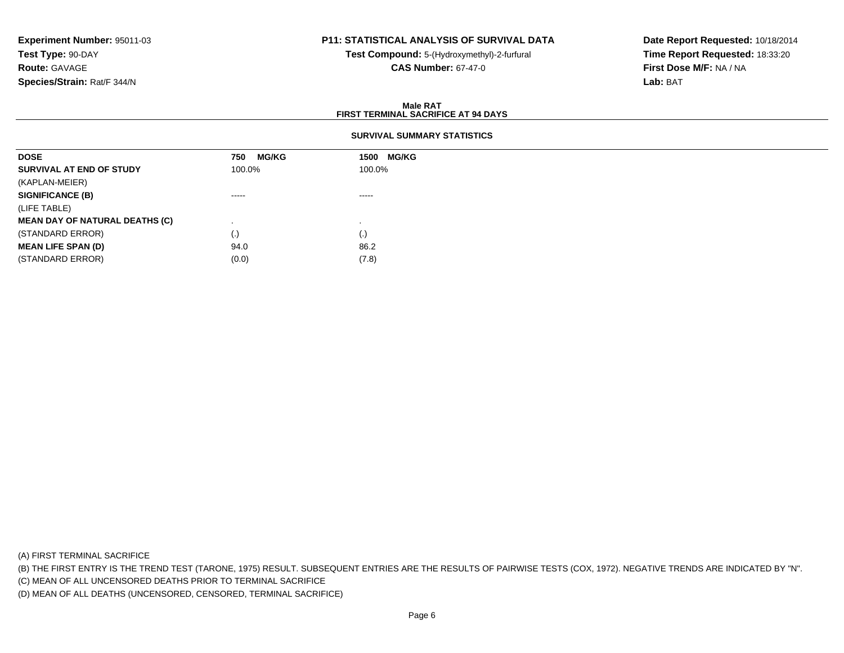## **P11: STATISTICAL ANALYSIS OF SURVIVAL DATA**

**Test Compound:** 5-(Hydroxymethyl)-2-furfural **CAS Number:** 67-47-0

**Date Report Requested:** 10/18/2014**Time Report Requested:** 18:33:20**First Dose M/F:** NA / NA**Lab:** BAT

### **Male RATFIRST TERMINAL SACRIFICE AT 94 DAYS**

## **SURVIVAL SUMMARY STATISTICS**

| <b>DOSE</b>                           | <b>MG/KG</b><br>750 | <b>MG/KG</b><br>1500 |
|---------------------------------------|---------------------|----------------------|
| SURVIVAL AT END OF STUDY              | 100.0%              | 100.0%               |
| (KAPLAN-MEIER)                        |                     |                      |
| <b>SIGNIFICANCE (B)</b>               | -----               | $\cdots$             |
| (LIFE TABLE)                          |                     |                      |
| <b>MEAN DAY OF NATURAL DEATHS (C)</b> |                     |                      |
| (STANDARD ERROR)                      | (.)                 | $\left( .\right)$    |
| <b>MEAN LIFE SPAN (D)</b>             | 94.0                | 86.2                 |
| (STANDARD ERROR)                      | (0.0)               | (7.8)                |

(A) FIRST TERMINAL SACRIFICE

(B) THE FIRST ENTRY IS THE TREND TEST (TARONE, 1975) RESULT. SUBSEQUENT ENTRIES ARE THE RESULTS OF PAIRWISE TESTS (COX, 1972). NEGATIVE TRENDS ARE INDICATED BY "N".

(C) MEAN OF ALL UNCENSORED DEATHS PRIOR TO TERMINAL SACRIFICE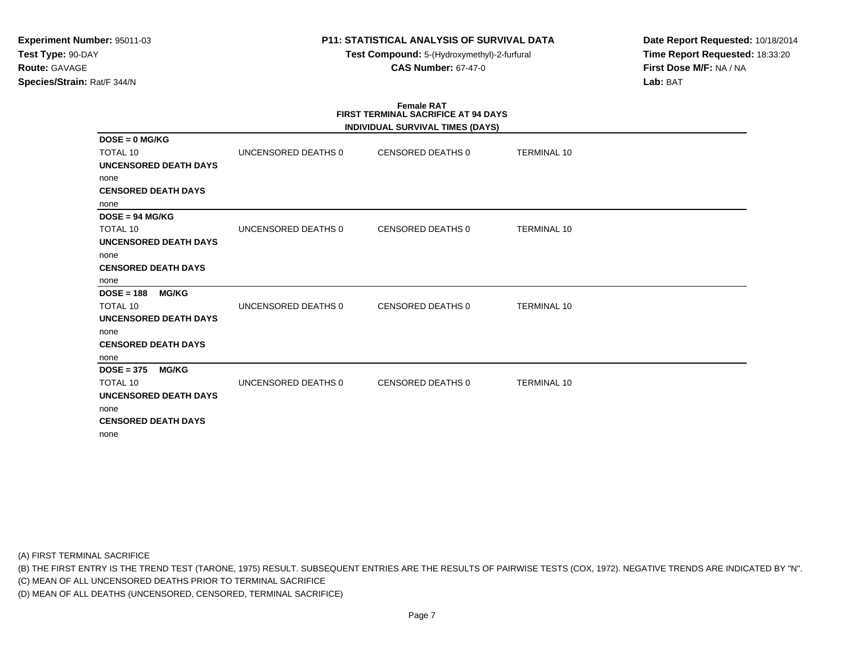**Test Compound:** 5-(Hydroxymethyl)-2-furfural **CAS Number:** 67-47-0

**Date Report Requested:** 10/18/2014**Time Report Requested:** 18:33:20**First Dose M/F:** NA / NA**Lab:** BAT

# **Female RATFIRST TERMINAL SACRIFICE AT 94 DAYS**

| UNCENSORED DEATHS 0 | CENSORED DEATHS 0        | <b>TERMINAL 10</b> |                                  |
|---------------------|--------------------------|--------------------|----------------------------------|
|                     |                          |                    |                                  |
|                     |                          |                    |                                  |
|                     |                          |                    |                                  |
|                     |                          |                    |                                  |
|                     |                          |                    |                                  |
| UNCENSORED DEATHS 0 | CENSORED DEATHS 0        | <b>TERMINAL 10</b> |                                  |
|                     |                          |                    |                                  |
|                     |                          |                    |                                  |
|                     |                          |                    |                                  |
|                     |                          |                    |                                  |
|                     |                          |                    |                                  |
| UNCENSORED DEATHS 0 | CENSORED DEATHS 0        | <b>TERMINAL 10</b> |                                  |
|                     |                          |                    |                                  |
|                     |                          |                    |                                  |
|                     |                          |                    |                                  |
|                     |                          |                    |                                  |
|                     |                          |                    |                                  |
| UNCENSORED DEATHS 0 | <b>CENSORED DEATHS 0</b> | <b>TERMINAL 10</b> |                                  |
|                     |                          |                    |                                  |
|                     |                          |                    |                                  |
|                     |                          |                    |                                  |
|                     |                          |                    |                                  |
|                     |                          |                    | INDIVIDUAL SURVIVAL TIMES (DAYS) |

(A) FIRST TERMINAL SACRIFICE

(B) THE FIRST ENTRY IS THE TREND TEST (TARONE, 1975) RESULT. SUBSEQUENT ENTRIES ARE THE RESULTS OF PAIRWISE TESTS (COX, 1972). NEGATIVE TRENDS ARE INDICATED BY "N".

(C) MEAN OF ALL UNCENSORED DEATHS PRIOR TO TERMINAL SACRIFICE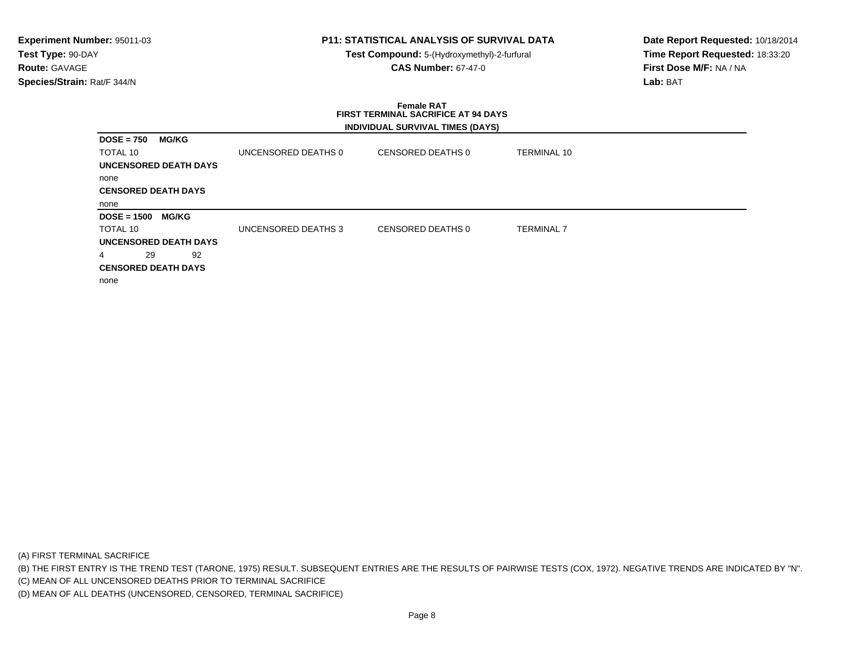**Test Compound:** 5-(Hydroxymethyl)-2-furfural **CAS Number:** 67-47-0

**Date Report Requested:** 10/18/2014**Time Report Requested:** 18:33:20**First Dose M/F:** NA / NA**Lab:** BAT

### **Female RAT FIRST TERMINAL SACRIFICE AT 94 DAYSINDIVIDUAL SURVIVAL TIMES (DAYS)**

| <b>DOSE = 750</b><br><b>MG/KG</b>  |                     |                   |                    |
|------------------------------------|---------------------|-------------------|--------------------|
| TOTAL 10                           | UNCENSORED DEATHS 0 | CENSORED DEATHS 0 | <b>TERMINAL 10</b> |
| <b>UNCENSORED DEATH DAYS</b>       |                     |                   |                    |
| none                               |                     |                   |                    |
| <b>CENSORED DEATH DAYS</b>         |                     |                   |                    |
| none                               |                     |                   |                    |
|                                    |                     |                   |                    |
| <b>DOSE = 1500</b><br><b>MG/KG</b> |                     |                   |                    |
| TOTAL 10                           | UNCENSORED DEATHS 3 | CENSORED DEATHS 0 | <b>TERMINAL 7</b>  |
| <b>UNCENSORED DEATH DAYS</b>       |                     |                   |                    |
| 29<br>92<br>4                      |                     |                   |                    |
|                                    |                     |                   |                    |
| <b>CENSORED DEATH DAYS</b><br>none |                     |                   |                    |

(A) FIRST TERMINAL SACRIFICE

(B) THE FIRST ENTRY IS THE TREND TEST (TARONE, 1975) RESULT. SUBSEQUENT ENTRIES ARE THE RESULTS OF PAIRWISE TESTS (COX, 1972). NEGATIVE TRENDS ARE INDICATED BY "N".

(C) MEAN OF ALL UNCENSORED DEATHS PRIOR TO TERMINAL SACRIFICE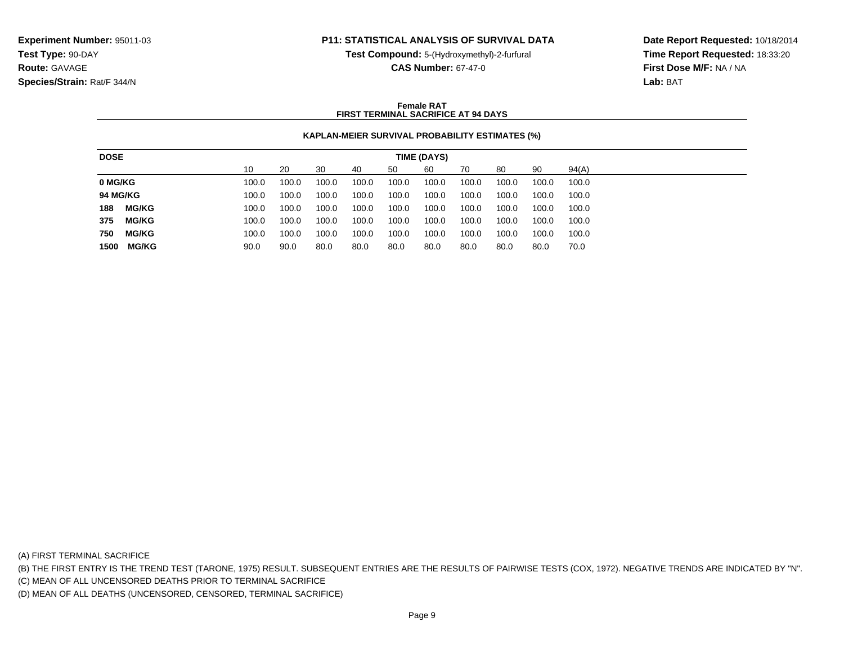**Test Compound:** 5-(Hydroxymethyl)-2-furfural

**CAS Number:** 67-47-0

**Date Report Requested:** 10/18/2014**Time Report Requested:** 18:33:20**First Dose M/F:** NA / NA**Lab:** BAT

### **Female RATFIRST TERMINAL SACRIFICE AT 94 DAYS**

## **KAPLAN-MEIER SURVIVAL PROBABILITY ESTIMATES (%)**

| 10<br>90<br>94(A)<br>20<br>30<br>60<br>50<br>80<br>40<br>70<br>100.0<br>100.0<br>100.0<br>100.0<br>100.0<br>100.0<br>100.0<br>100.0<br>100.0<br>100.0 |
|-------------------------------------------------------------------------------------------------------------------------------------------------------|
| 0 MG/KG                                                                                                                                               |
|                                                                                                                                                       |
| <b>94 MG/KG</b><br>100.0<br>100.0<br>100.0<br>100.0<br>100.0<br>100.0<br>100.0<br>100.0<br>100.0<br>100.0                                             |
| <b>MG/KG</b><br>188<br>100.0<br>100.0<br>100.0<br>100.0<br>100.0<br>100.0<br>100.0<br>100.0<br>100.0<br>100.0                                         |
| <b>MG/KG</b><br>375<br>100.0<br>100.0<br>100.0<br>100.0<br>100.0<br>100.0<br>100.0<br>100.0<br>100.0<br>100.0                                         |
| 750<br><b>MG/KG</b><br>100.0<br>100.0<br>100.0<br>100.0<br>100.0<br>100.0<br>100.0<br>100.0<br>100.0<br>100.0                                         |
| <b>MG/KG</b><br>1500<br>80.0<br>90.0<br>80.0<br>80.0<br>80.0<br>90.0<br>80.0<br>80.0<br>80.0<br>70.0                                                  |

(A) FIRST TERMINAL SACRIFICE

(B) THE FIRST ENTRY IS THE TREND TEST (TARONE, 1975) RESULT. SUBSEQUENT ENTRIES ARE THE RESULTS OF PAIRWISE TESTS (COX, 1972). NEGATIVE TRENDS ARE INDICATED BY "N".

(C) MEAN OF ALL UNCENSORED DEATHS PRIOR TO TERMINAL SACRIFICE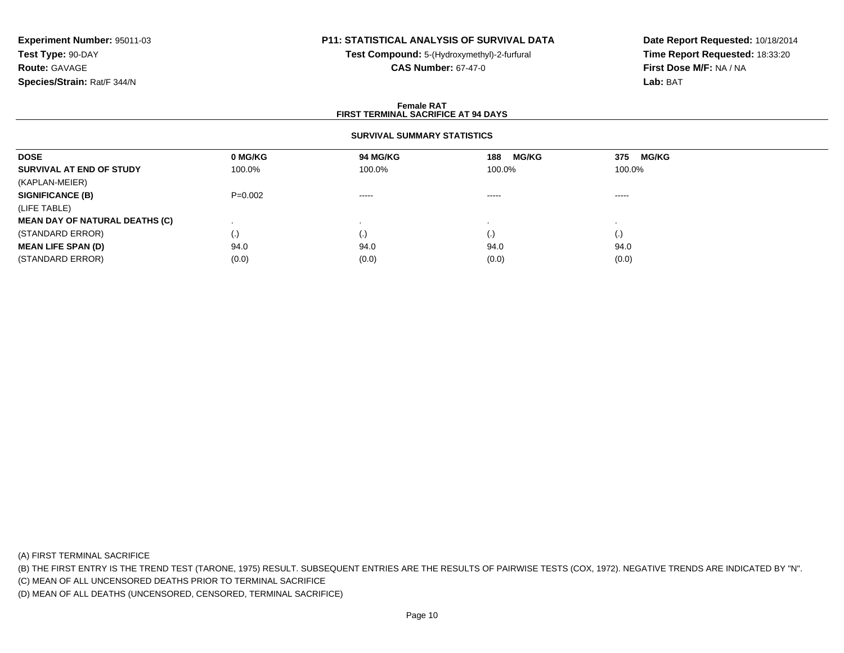# **P11: STATISTICAL ANALYSIS OF SURVIVAL DATA**

**Test Compound:** 5-(Hydroxymethyl)-2-furfural **CAS Number:** 67-47-0

**Date Report Requested:** 10/18/2014**Time Report Requested:** 18:33:20**First Dose M/F:** NA / NA**Lab:** BAT

### **Female RATFIRST TERMINAL SACRIFICE AT 94 DAYS**

## **SURVIVAL SUMMARY STATISTICS**

| <b>DOSE</b>                           | 0 MG/KG   | 94 MG/KG                                                                                                                                                                                                                                                                                                                                                                                                                                                                               | <b>MG/KG</b><br>188 | <b>MG/KG</b><br>375                                                                                                                                                                                                                                                                                                                                                                                                                                                                    |  |
|---------------------------------------|-----------|----------------------------------------------------------------------------------------------------------------------------------------------------------------------------------------------------------------------------------------------------------------------------------------------------------------------------------------------------------------------------------------------------------------------------------------------------------------------------------------|---------------------|----------------------------------------------------------------------------------------------------------------------------------------------------------------------------------------------------------------------------------------------------------------------------------------------------------------------------------------------------------------------------------------------------------------------------------------------------------------------------------------|--|
| SURVIVAL AT END OF STUDY              | 100.0%    | 100.0%                                                                                                                                                                                                                                                                                                                                                                                                                                                                                 | 100.0%              | 100.0%                                                                                                                                                                                                                                                                                                                                                                                                                                                                                 |  |
| (KAPLAN-MEIER)                        |           |                                                                                                                                                                                                                                                                                                                                                                                                                                                                                        |                     |                                                                                                                                                                                                                                                                                                                                                                                                                                                                                        |  |
| <b>SIGNIFICANCE (B)</b>               | $P=0.002$ | $\begin{array}{cccccccccccccc} \multicolumn{2}{c}{} & \multicolumn{2}{c}{} & \multicolumn{2}{c}{} & \multicolumn{2}{c}{} & \multicolumn{2}{c}{} & \multicolumn{2}{c}{} & \multicolumn{2}{c}{} & \multicolumn{2}{c}{} & \multicolumn{2}{c}{} & \multicolumn{2}{c}{} & \multicolumn{2}{c}{} & \multicolumn{2}{c}{} & \multicolumn{2}{c}{} & \multicolumn{2}{c}{} & \multicolumn{2}{c}{} & \multicolumn{2}{c}{} & \multicolumn{2}{c}{} & \multicolumn{2}{c}{} & \multicolumn{2}{c}{} & \$ | $\cdots$            | $\begin{array}{cccccccccccccc} \multicolumn{2}{c}{} & \multicolumn{2}{c}{} & \multicolumn{2}{c}{} & \multicolumn{2}{c}{} & \multicolumn{2}{c}{} & \multicolumn{2}{c}{} & \multicolumn{2}{c}{} & \multicolumn{2}{c}{} & \multicolumn{2}{c}{} & \multicolumn{2}{c}{} & \multicolumn{2}{c}{} & \multicolumn{2}{c}{} & \multicolumn{2}{c}{} & \multicolumn{2}{c}{} & \multicolumn{2}{c}{} & \multicolumn{2}{c}{} & \multicolumn{2}{c}{} & \multicolumn{2}{c}{} & \multicolumn{2}{c}{} & \$ |  |
| (LIFE TABLE)                          |           |                                                                                                                                                                                                                                                                                                                                                                                                                                                                                        |                     |                                                                                                                                                                                                                                                                                                                                                                                                                                                                                        |  |
| <b>MEAN DAY OF NATURAL DEATHS (C)</b> |           |                                                                                                                                                                                                                                                                                                                                                                                                                                                                                        |                     |                                                                                                                                                                                                                                                                                                                                                                                                                                                                                        |  |
| (STANDARD ERROR)                      | (.)       | ( • )                                                                                                                                                                                                                                                                                                                                                                                                                                                                                  | $\left( . \right)$  | $\left( . \right)$                                                                                                                                                                                                                                                                                                                                                                                                                                                                     |  |
| <b>MEAN LIFE SPAN (D)</b>             | 94.0      | 94.0                                                                                                                                                                                                                                                                                                                                                                                                                                                                                   | 94.0                | 94.0                                                                                                                                                                                                                                                                                                                                                                                                                                                                                   |  |
| (STANDARD ERROR)                      | (0.0)     | (0.0)                                                                                                                                                                                                                                                                                                                                                                                                                                                                                  | (0.0)               | (0.0)                                                                                                                                                                                                                                                                                                                                                                                                                                                                                  |  |

(A) FIRST TERMINAL SACRIFICE

(B) THE FIRST ENTRY IS THE TREND TEST (TARONE, 1975) RESULT. SUBSEQUENT ENTRIES ARE THE RESULTS OF PAIRWISE TESTS (COX, 1972). NEGATIVE TRENDS ARE INDICATED BY "N".

(C) MEAN OF ALL UNCENSORED DEATHS PRIOR TO TERMINAL SACRIFICE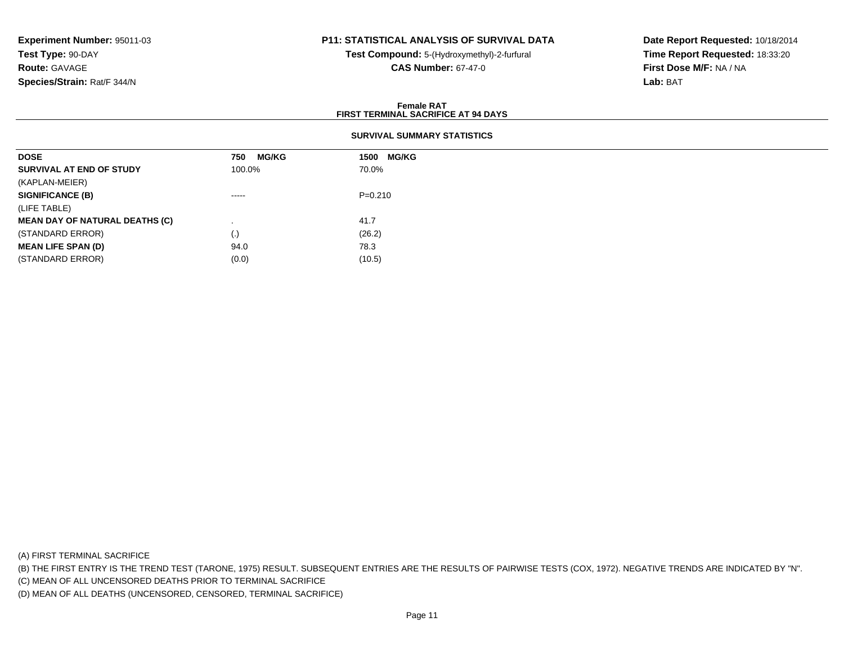## **P11: STATISTICAL ANALYSIS OF SURVIVAL DATA**

**Test Compound:** 5-(Hydroxymethyl)-2-furfural **CAS Number:** 67-47-0

**Date Report Requested:** 10/18/2014**Time Report Requested:** 18:33:20**First Dose M/F:** NA / NA**Lab:** BAT

#### **Female RATFIRST TERMINAL SACRIFICE AT 94 DAYS**

## **SURVIVAL SUMMARY STATISTICS**

| <b>DOSE</b>                           | <b>MG/KG</b><br>750 | <b>MG/KG</b><br>1500 |
|---------------------------------------|---------------------|----------------------|
| SURVIVAL AT END OF STUDY              | 100.0%              | 70.0%                |
| (KAPLAN-MEIER)                        |                     |                      |
| <b>SIGNIFICANCE (B)</b>               | $\cdots$            | $P=0.210$            |
| (LIFE TABLE)                          |                     |                      |
| <b>MEAN DAY OF NATURAL DEATHS (C)</b> |                     | 41.7                 |
| (STANDARD ERROR)                      | $\cdot$             | (26.2)               |
| <b>MEAN LIFE SPAN (D)</b>             | 94.0                | 78.3                 |
| (STANDARD ERROR)                      | (0.0)               | (10.5)               |

(A) FIRST TERMINAL SACRIFICE

(B) THE FIRST ENTRY IS THE TREND TEST (TARONE, 1975) RESULT. SUBSEQUENT ENTRIES ARE THE RESULTS OF PAIRWISE TESTS (COX, 1972). NEGATIVE TRENDS ARE INDICATED BY "N".

(C) MEAN OF ALL UNCENSORED DEATHS PRIOR TO TERMINAL SACRIFICE